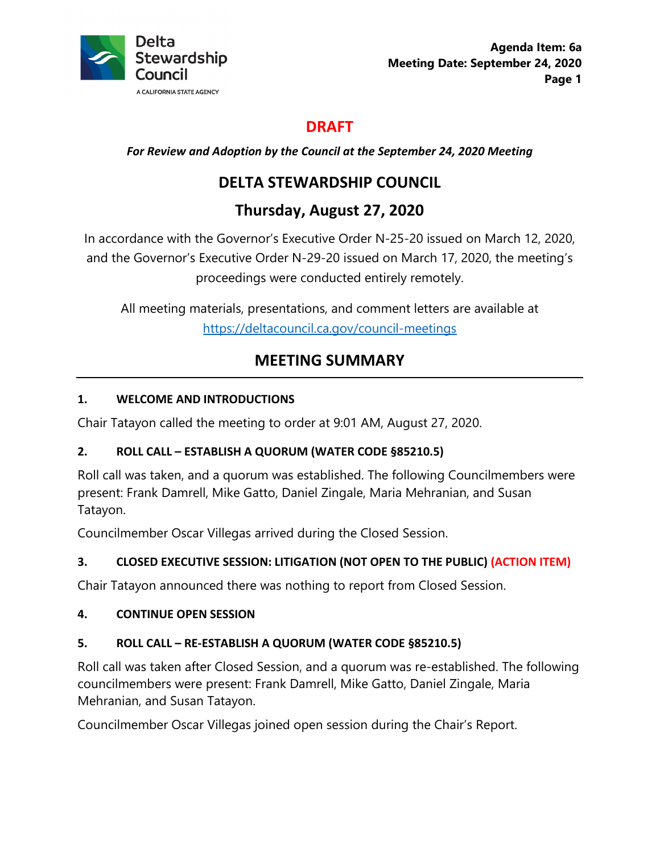

# **DRAFT**

*For Review and Adoption by the Council at the September 24, 2020 Meeting*

# **DELTA STEWARDSHIP COUNCIL**

# **Thursday, August 27, 2020**

In accordance with the Governor's Executive Order N-25-20 issued on March 12, 2020, and the Governor's Executive Order N-29-20 issued on March 17, 2020, the meeting's proceedings were conducted entirely remotely.

All meeting materials, presentations, and comment letters are available at <https://deltacouncil.ca.gov/council-meetings>

# **MEETING SUMMARY**

# **1. WELCOME AND INTRODUCTIONS**

Chair Tatayon called the meeting to order at 9:01 AM, August 27, 2020.

# **2. ROLL CALL – ESTABLISH A QUORUM (WATER CODE §85210.5)**

Roll call was taken, and a quorum was established. The following Councilmembers were present: Frank Damrell, Mike Gatto, Daniel Zingale, Maria Mehranian, and Susan Tatayon.

Councilmember Oscar Villegas arrived during the Closed Session.

# **3. CLOSED EXECUTIVE SESSION: LITIGATION (NOT OPEN TO THE PUBLIC) (ACTION ITEM)**

Chair Tatayon announced there was nothing to report from Closed Session.

# **4. CONTINUE OPEN SESSION**

# **5. ROLL CALL – RE-ESTABLISH A QUORUM (WATER CODE §85210.5)**

Roll call was taken after Closed Session, and a quorum was re-established. The following councilmembers were present: Frank Damrell, Mike Gatto, Daniel Zingale, Maria Mehranian, and Susan Tatayon.

Councilmember Oscar Villegas joined open session during the Chair's Report.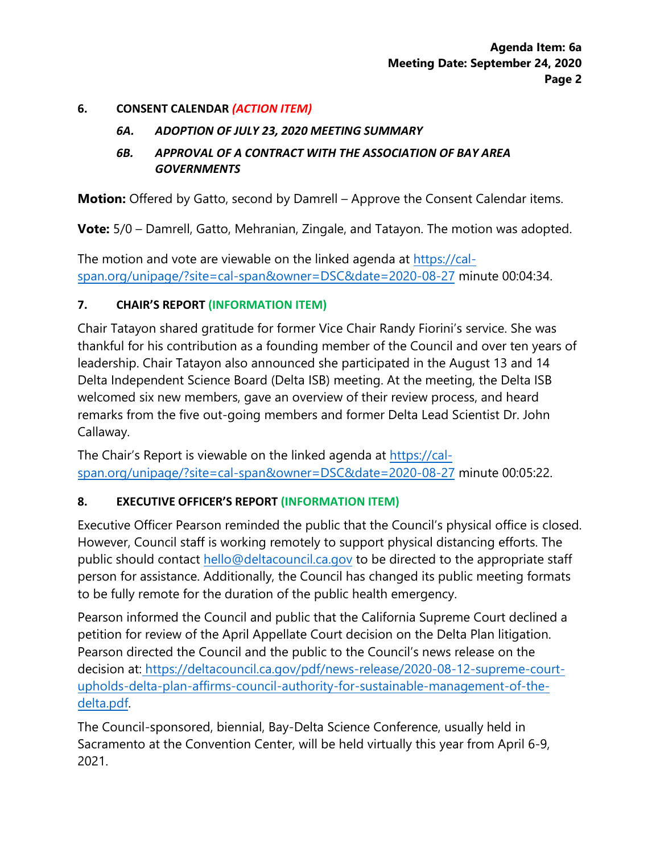#### **6. CONSENT CALENDAR** *(ACTION ITEM)*

#### *6A. ADOPTION OF JULY 23, 2020 MEETING SUMMARY*

#### *6B. APPROVAL OF A CONTRACT WITH THE ASSOCIATION OF BAY AREA GOVERNMENTS*

**Motion:** Offered by Gatto, second by Damrell – Approve the Consent Calendar items.

**Vote:** 5/0 – Damrell, Gatto, Mehranian, Zingale, and Tatayon. The motion was adopted.

The motion and vote are viewable on the linked agenda at [https://cal](https://cal-span.org/unipage/?site=cal-span&owner=DSC&date=2020-08-27)[span.org/unipage/?site=cal-span&owner=DSC&date=2020-08-27](https://cal-span.org/unipage/?site=cal-span&owner=DSC&date=2020-08-27) minute 00:04:34.

#### **7. CHAIR'S REPORT (INFORMATION ITEM)**

Chair Tatayon shared gratitude for former Vice Chair Randy Fiorini's service. She was thankful for his contribution as a founding member of the Council and over ten years of leadership. Chair Tatayon also announced she participated in the August 13 and 14 Delta Independent Science Board (Delta ISB) meeting. At the meeting, the Delta ISB welcomed six new members, gave an overview of their review process, and heard remarks from the five out-going members and former Delta Lead Scientist Dr. John Callaway.

The Chair's Report is viewable on the linked agenda at [https://cal](https://cal-span.org/unipage/?site=cal-span&owner=DSC&date=2020-08-27)[span.org/unipage/?site=cal-span&owner=DSC&date=2020-08-27](https://cal-span.org/unipage/?site=cal-span&owner=DSC&date=2020-08-27) minute 00:05:22.

#### **8. EXECUTIVE OFFICER'S REPORT (INFORMATION ITEM)**

Executive Officer Pearson reminded the public that the Council's physical office is closed. However, Council staff is working remotely to support physical distancing efforts. The public should contact [hello@deltacouncil.ca.gov](mailto:hello@deltacouncil.ca.gov) to be directed to the appropriate staff person for assistance. Additionally, the Council has changed its public meeting formats to be fully remote for the duration of the public health emergency.

Pearson informed the Council and public that the California Supreme Court declined a petition for review of the April Appellate Court decision on the Delta Plan litigation. Pearson directed the Council and the public to the Council's news release on the decision at: https://deltacouncil.ca.gov/pdf/news-release/2020-08-12-supreme-courtupholds-delta-plan-affirms-council-authority-for-sustainable-management-of-thedelta.pdf.

The Council-sponsored, biennial, Bay-Delta Science Conference, usually held in Sacramento at the Convention Center, will be held virtually this year from April 6-9, 2021.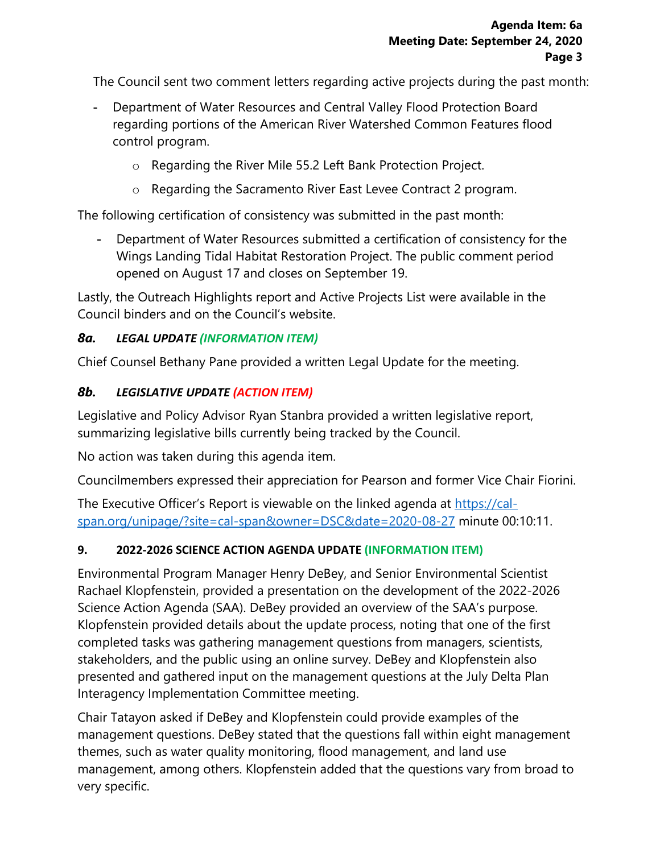The Council sent two comment letters regarding active projects during the past month:

- Department of Water Resources and Central Valley Flood Protection Board regarding portions of the American River Watershed Common Features flood control program.
	- o Regarding the River Mile 55.2 Left Bank Protection Project.
	- o Regarding the Sacramento River East Levee Contract 2 program.

The following certification of consistency was submitted in the past month:

- Department of Water Resources submitted a certification of consistency for the Wings Landing Tidal Habitat Restoration Project. The public comment period opened on August 17 and closes on September 19.

Lastly, the Outreach Highlights report and Active Projects List were available in the Council binders and on the Council's website.

### *8a. LEGAL UPDATE (INFORMATION ITEM)*

Chief Counsel Bethany Pane provided a written Legal Update for the meeting.

### *8b. LEGISLATIVE UPDATE (ACTION ITEM)*

Legislative and Policy Advisor Ryan Stanbra provided a written legislative report, summarizing legislative bills currently being tracked by the Council.

No action was taken during this agenda item.

Councilmembers expressed their appreciation for Pearson and former Vice Chair Fiorini.

The Executive Officer's Report is viewable on the linked agenda at [https://cal](https://cal-span.org/unipage/?site=cal-span&owner=DSC&date=2020-08-27)[span.org/unipage/?site=cal-span&owner=DSC&date=2020-08-27](https://cal-span.org/unipage/?site=cal-span&owner=DSC&date=2020-08-27) minute 00:10:11.

# **9. 2022-2026 SCIENCE ACTION AGENDA UPDATE (INFORMATION ITEM)**

Environmental Program Manager Henry DeBey, and Senior Environmental Scientist Rachael Klopfenstein, provided a presentation on the development of the 2022-2026 Science Action Agenda (SAA). DeBey provided an overview of the SAA's purpose. Klopfenstein provided details about the update process, noting that one of the first completed tasks was gathering management questions from managers, scientists, stakeholders, and the public using an online survey. DeBey and Klopfenstein also presented and gathered input on the management questions at the July Delta Plan Interagency Implementation Committee meeting.

Chair Tatayon asked if DeBey and Klopfenstein could provide examples of the management questions. DeBey stated that the questions fall within eight management themes, such as water quality monitoring, flood management, and land use management, among others. Klopfenstein added that the questions vary from broad to very specific.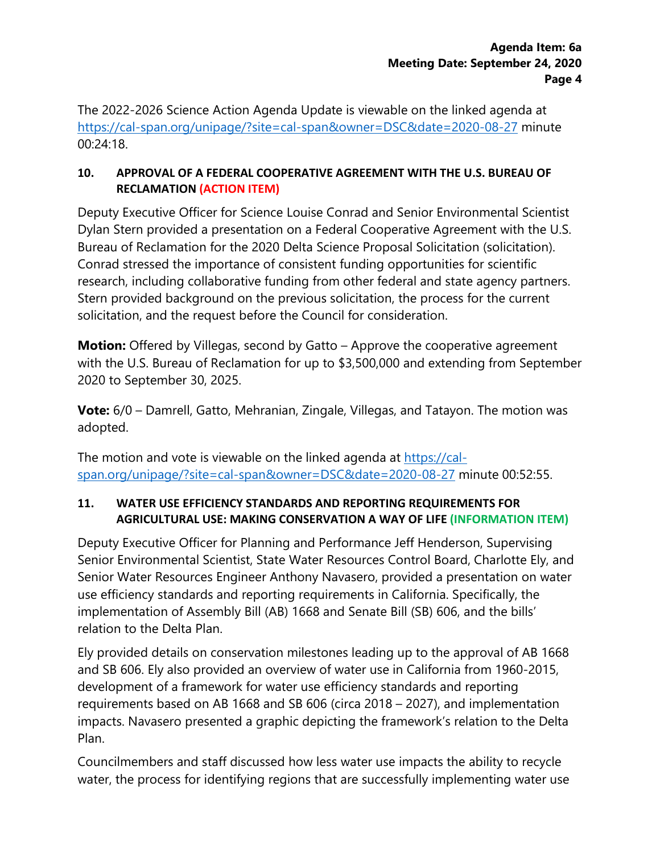The 2022-2026 Science Action Agenda Update is viewable on the linked agenda at <https://cal-span.org/unipage/?site=cal-span&owner=DSC&date=2020-08-27> minute  $00:24:18$ 

#### **10. APPROVAL OF A FEDERAL COOPERATIVE AGREEMENT WITH THE U.S. BUREAU OF RECLAMATION (ACTION ITEM)**

Deputy Executive Officer for Science Louise Conrad and Senior Environmental Scientist Dylan Stern provided a presentation on a Federal Cooperative Agreement with the U.S. Bureau of Reclamation for the 2020 Delta Science Proposal Solicitation (solicitation). Conrad stressed the importance of consistent funding opportunities for scientific research, including collaborative funding from other federal and state agency partners. Stern provided background on the previous solicitation, the process for the current solicitation, and the request before the Council for consideration.

**Motion:** Offered by Villegas, second by Gatto – Approve the cooperative agreement with the U.S. Bureau of Reclamation for up to \$3,500,000 and extending from September 2020 to September 30, 2025.

**Vote:** 6/0 – Damrell, Gatto, Mehranian, Zingale, Villegas, and Tatayon. The motion was adopted.

The motion and vote is viewable on the linked agenda at [https://cal](https://cal-span.org/unipage/?site=cal-span&owner=DSC&date=2020-08-27)[span.org/unipage/?site=cal-span&owner=DSC&date=2020-08-27](https://cal-span.org/unipage/?site=cal-span&owner=DSC&date=2020-08-27) minute 00:52:55.

### **11. WATER USE EFFICIENCY STANDARDS AND REPORTING REQUIREMENTS FOR AGRICULTURAL USE: MAKING CONSERVATION A WAY OF LIFE (INFORMATION ITEM)**

Deputy Executive Officer for Planning and Performance Jeff Henderson, Supervising Senior Environmental Scientist, State Water Resources Control Board, Charlotte Ely, and Senior Water Resources Engineer Anthony Navasero, provided a presentation on water use efficiency standards and reporting requirements in California. Specifically, the implementation of Assembly Bill (AB) 1668 and Senate Bill (SB) 606, and the bills' relation to the Delta Plan.

Ely provided details on conservation milestones leading up to the approval of AB 1668 and SB 606. Ely also provided an overview of water use in California from 1960-2015, development of a framework for water use efficiency standards and reporting requirements based on AB 1668 and SB 606 (circa 2018 – 2027), and implementation impacts. Navasero presented a graphic depicting the framework's relation to the Delta Plan.

Councilmembers and staff discussed how less water use impacts the ability to recycle water, the process for identifying regions that are successfully implementing water use